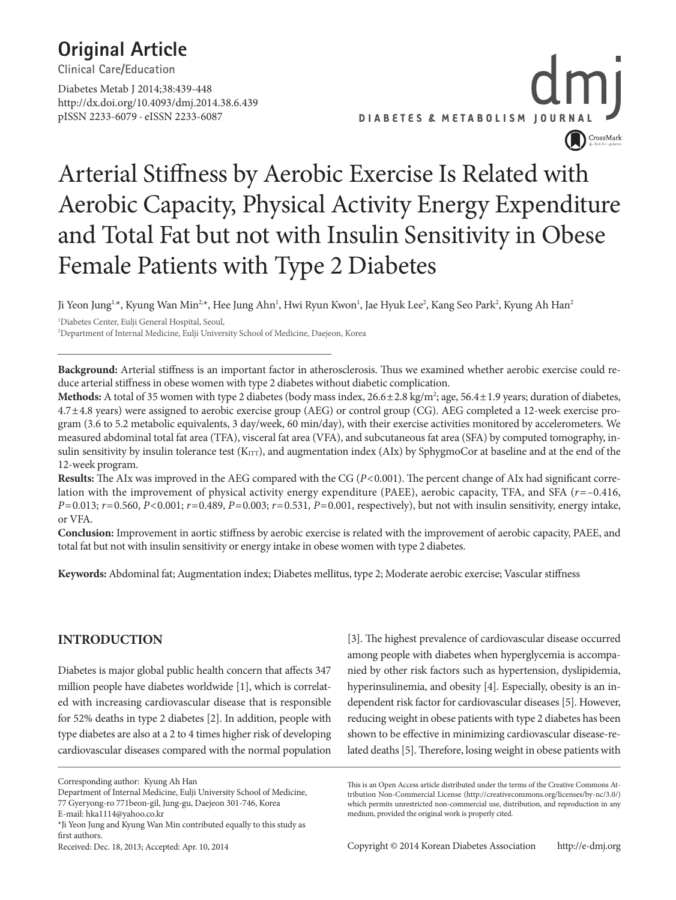### **Original Article**

**Clinical Care/Education**

Diabetes Metab J 2014;38:439-448 http://dx.doi.org/10.4093/dmj.2014.38.6.439 pISSN 2233-6079 · eISSN 2233-6087



### Arterial Stiffness by Aerobic Exercise Is Related with Aerobic Capacity, Physical Activity Energy Expenditure and Total Fat but not with Insulin Sensitivity in Obese Female Patients with Type 2 Diabetes

Ji Yeon Jung<sup>1,</sup>\*, Kyung Wan Min<sup>2,\*</sup>, Hee Jung Ahn<sup>1</sup>, Hwi Ryun Kwon<sup>1</sup>, Jae Hyuk Lee<sup>2</sup>, Kang Seo Park<sup>2</sup>, Kyung Ah Han<sup>2</sup>

1 Diabetes Center, Eulji General Hospital, Seoul,

2 Department of Internal Medicine, Eulji University School of Medicine, Daejeon, Korea

**Background:** Arterial stiffness is an important factor in atherosclerosis. Thus we examined whether aerobic exercise could reduce arterial stiffness in obese women with type 2 diabetes without diabetic complication.

Methods: A total of 35 women with type 2 diabetes (body mass index, 26.6±2.8 kg/m<sup>2</sup>; age, 56.4±1.9 years; duration of diabetes, 4.7±4.8 years) were assigned to aerobic exercise group (AEG) or control group (CG). AEG completed a 12-week exercise program (3.6 to 5.2 metabolic equivalents, 3 day/week, 60 min/day), with their exercise activities monitored by accelerometers. We measured abdominal total fat area (TFA), visceral fat area (VFA), and subcutaneous fat area (SFA) by computed tomography, insulin sensitivity by insulin tolerance test (K<sub>ITT</sub>), and augmentation index (AIx) by SphygmoCor at baseline and at the end of the 12-week program.

**Results:** The AIx was improved in the AEG compared with the CG (*P*<0.001). The percent change of AIx had significant correlation with the improvement of physical activity energy expenditure (PAEE), aerobic capacity, TFA, and SFA (*r*=–0.416, *P*=0.013; *r*=0.560, *P*<0.001; *r*=0.489, *P*=0.003; *r*=0.531, *P*=0.001, respectively), but not with insulin sensitivity, energy intake, or VFA.

**Conclusion:** Improvement in aortic stiffness by aerobic exercise is related with the improvement of aerobic capacity, PAEE, and total fat but not with insulin sensitivity or energy intake in obese women with type 2 diabetes.

**Keywords:** Abdominal fat; Augmentation index; Diabetes mellitus, type 2; Moderate aerobic exercise; Vascular stiffness

### **INTRODUCTION**

Diabetes is major global public health concern that affects 347 million people have diabetes worldwide [1], which is correlated with increasing cardiovascular disease that is responsible for 52% deaths in type 2 diabetes [2]. In addition, people with type diabetes are also at a 2 to 4 times higher risk of developing cardiovascular diseases compared with the normal population

E-mail: hka1114@yahoo.co.kr

[3]. The highest prevalence of cardiovascular disease occurred among people with diabetes when hyperglycemia is accompanied by other risk factors such as hypertension, dyslipidemia, hyperinsulinemia, and obesity [4]. Especially, obesity is an independent risk factor for cardiovascular diseases [5]. However, reducing weight in obese patients with type 2 diabetes has been shown to be effective in minimizing cardiovascular disease-related deaths [5]. Therefore, losing weight in obese patients with

Corresponding author: Kyung Ah Han

Department of Internal Medicine, Eulji University School of Medicine, 77 Gyeryong-ro 771beon-gil, Jung-gu, Daejeon 301-746, Korea

<sup>\*</sup>Ji Yeon Jung and Kyung Wan Min contributed equally to this study as first authors.

Received: Dec. 18, 2013; Accepted: Apr. 10, 2014

This is an Open Access article distributed under the terms of the Creative Commons Attribution Non-Commercial License (http://creativecommons.org/licenses/by-nc/3.0/) which permits unrestricted non-commercial use, distribution, and reproduction in any medium, provided the original work is properly cited.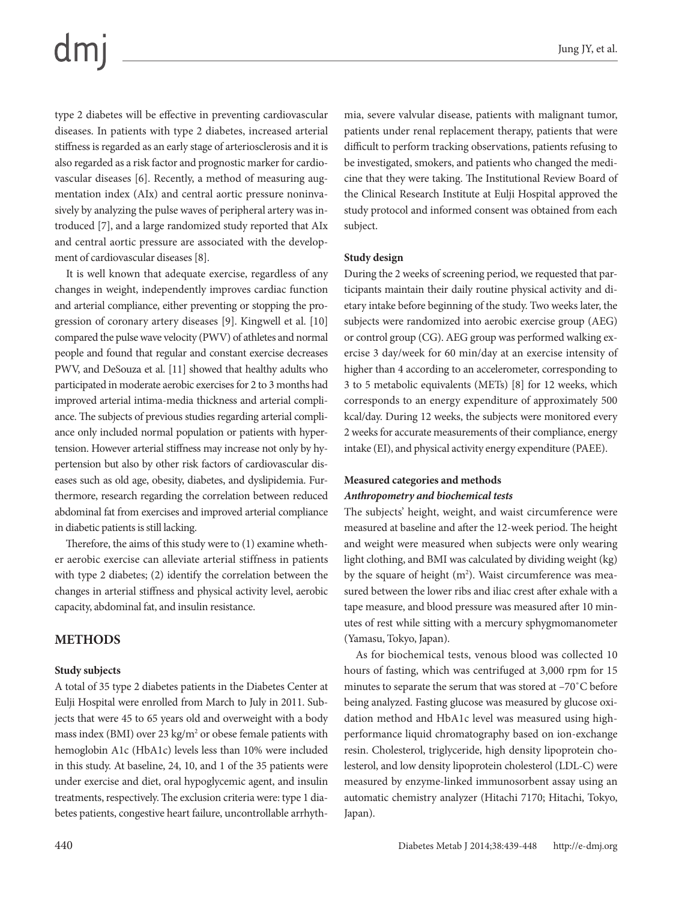### $dm$

type 2 diabetes will be effective in preventing cardiovascular diseases. In patients with type 2 diabetes, increased arterial stiffness is regarded as an early stage of arteriosclerosis and it is also regarded as a risk factor and prognostic marker for cardiovascular diseases [6]. Recently, a method of measuring augmentation index (AIx) and central aortic pressure noninvasively by analyzing the pulse waves of peripheral artery was introduced [7], and a large randomized study reported that AIx and central aortic pressure are associated with the development of cardiovascular diseases [8].

It is well known that adequate exercise, regardless of any changes in weight, independently improves cardiac function and arterial compliance, either preventing or stopping the progression of coronary artery diseases [9]. Kingwell et al. [10] compared the pulse wave velocity (PWV) of athletes and normal people and found that regular and constant exercise decreases PWV, and DeSouza et al. [11] showed that healthy adults who participated in moderate aerobic exercises for 2 to 3 months had improved arterial intima-media thickness and arterial compliance. The subjects of previous studies regarding arterial compliance only included normal population or patients with hypertension. However arterial stiffness may increase not only by hypertension but also by other risk factors of cardiovascular diseases such as old age, obesity, diabetes, and dyslipidemia. Furthermore, research regarding the correlation between reduced abdominal fat from exercises and improved arterial compliance in diabetic patients is still lacking.

Therefore, the aims of this study were to (1) examine whether aerobic exercise can alleviate arterial stiffness in patients with type 2 diabetes; (2) identify the correlation between the changes in arterial stiffness and physical activity level, aerobic capacity, abdominal fat, and insulin resistance.

#### **METHODS**

#### **Study subjects**

A total of 35 type 2 diabetes patients in the Diabetes Center at Eulji Hospital were enrolled from March to July in 2011. Subjects that were 45 to 65 years old and overweight with a body mass index (BMI) over 23 kg/m<sup>2</sup> or obese female patients with hemoglobin A1c (HbA1c) levels less than 10% were included in this study. At baseline, 24, 10, and 1 of the 35 patients were under exercise and diet, oral hypoglycemic agent, and insulin treatments, respectively. The exclusion criteria were: type 1 diabetes patients, congestive heart failure, uncontrollable arrhyth-

mia, severe valvular disease, patients with malignant tumor, patients under renal replacement therapy, patients that were difficult to perform tracking observations, patients refusing to be investigated, smokers, and patients who changed the medicine that they were taking. The Institutional Review Board of the Clinical Research Institute at Eulji Hospital approved the study protocol and informed consent was obtained from each subject.

#### **Study design**

During the 2 weeks of screening period, we requested that participants maintain their daily routine physical activity and dietary intake before beginning of the study. Two weeks later, the subjects were randomized into aerobic exercise group (AEG) or control group (CG). AEG group was performed walking exercise 3 day/week for 60 min/day at an exercise intensity of higher than 4 according to an accelerometer, corresponding to 3 to 5 metabolic equivalents (METs) [8] for 12 weeks, which corresponds to an energy expenditure of approximately 500 kcal/day. During 12 weeks, the subjects were monitored every 2 weeks for accurate measurements of their compliance, energy intake (EI), and physical activity energy expenditure (PAEE).

#### **Measured categories and methods** *Anthropometry and biochemical tests*

The subjects' height, weight, and waist circumference were measured at baseline and after the 12-week period. The height and weight were measured when subjects were only wearing light clothing, and BMI was calculated by dividing weight (kg) by the square of height  $(m<sup>2</sup>)$ . Waist circumference was measured between the lower ribs and iliac crest after exhale with a tape measure, and blood pressure was measured after 10 minutes of rest while sitting with a mercury sphygmomanometer (Yamasu, Tokyo, Japan).

As for biochemical tests, venous blood was collected 10 hours of fasting, which was centrifuged at 3,000 rpm for 15 minutes to separate the serum that was stored at –70˚C before being analyzed. Fasting glucose was measured by glucose oxidation method and HbA1c level was measured using highperformance liquid chromatography based on ion-exchange resin. Cholesterol, triglyceride, high density lipoprotein cholesterol, and low density lipoprotein cholesterol (LDL-C) were measured by enzyme-linked immunosorbent assay using an automatic chemistry analyzer (Hitachi 7170; Hitachi, Tokyo, Japan).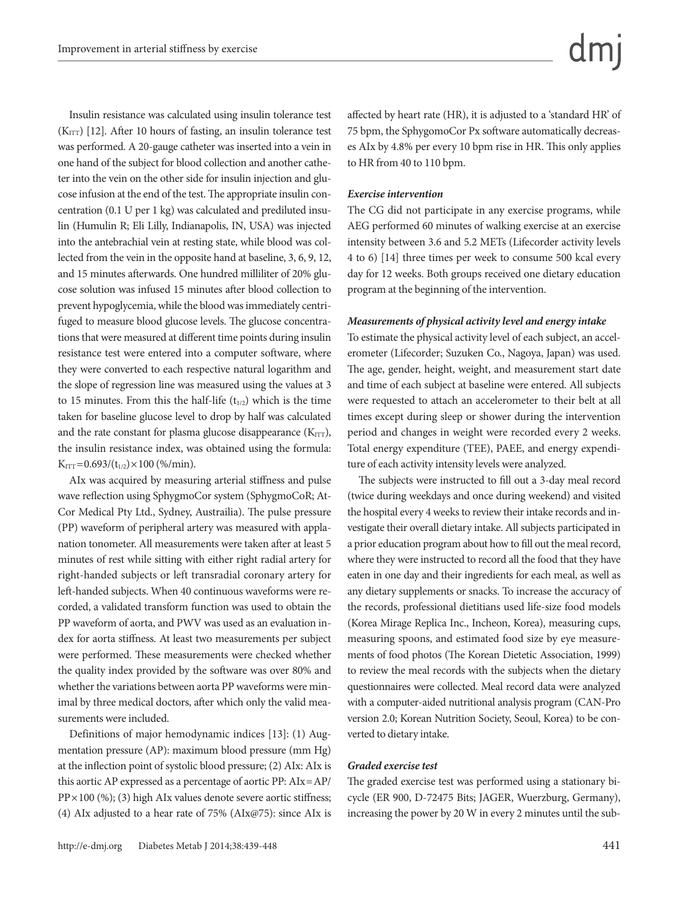Insulin resistance was calculated using insulin tolerance test  $(K_{\text{ITT}})$  [12]. After 10 hours of fasting, an insulin tolerance test was performed. A 20-gauge catheter was inserted into a vein in one hand of the subject for blood collection and another catheter into the vein on the other side for insulin injection and glucose infusion at the end of the test. The appropriate insulin concentration (0.1 U per 1 kg) was calculated and prediluted insulin (Humulin R; Eli Lilly, Indianapolis, IN, USA) was injected into the antebrachial vein at resting state, while blood was collected from the vein in the opposite hand at baseline, 3, 6, 9, 12, and 15 minutes afterwards. One hundred milliliter of 20% glucose solution was infused 15 minutes after blood collection to prevent hypoglycemia, while the blood was immediately centrifuged to measure blood glucose levels. The glucose concentrations that were measured at different time points during insulin resistance test were entered into a computer software, where they were converted to each respective natural logarithm and the slope of regression line was measured using the values at 3 to 15 minutes. From this the half-life  $(t_{1/2})$  which is the time taken for baseline glucose level to drop by half was calculated and the rate constant for plasma glucose disappearance  $(K_{\text{ITT}})$ , the insulin resistance index, was obtained using the formula:  $K_{\text{ITT}} = 0.693/(t_{1/2}) \times 100 \, (\% / \text{min}).$ 

AIx was acquired by measuring arterial stiffness and pulse wave reflection using SphygmoCor system (SphygmoCoR; At-Cor Medical Pty Ltd., Sydney, Austrailia). The pulse pressure (PP) waveform of peripheral artery was measured with applanation tonometer. All measurements were taken after at least 5 minutes of rest while sitting with either right radial artery for right-handed subjects or left transradial coronary artery for left-handed subjects. When 40 continuous waveforms were recorded, a validated transform function was used to obtain the PP waveform of aorta, and PWV was used as an evaluation index for aorta stiffness. At least two measurements per subject were performed. These measurements were checked whether the quality index provided by the software was over 80% and whether the variations between aorta PP waveforms were minimal by three medical doctors, after which only the valid measurements were included.

Definitions of major hemodynamic indices [13]: (1) Augmentation pressure (AP): maximum blood pressure (mm Hg) at the inflection point of systolic blood pressure; (2) AIx: AIx is this aortic AP expressed as a percentage of aortic PP: AIx=AP/  $PP \times 100$  (%); (3) high AIx values denote severe aortic stiffness; (4) AIx adjusted to a hear rate of 75% (AIx@75): since AIx is

affected by heart rate (HR), it is adjusted to a 'standard HR' of 75 bpm, the SphygomoCor Px software automatically decreases AIx by 4.8% per every 10 bpm rise in HR. This only applies to HR from 40 to 110 bpm.

#### *Exercise intervention*

The CG did not participate in any exercise programs, while AEG performed 60 minutes of walking exercise at an exercise intensity between 3.6 and 5.2 METs (Lifecorder activity levels 4 to 6) [14] three times per week to consume 500 kcal every day for 12 weeks. Both groups received one dietary education program at the beginning of the intervention.

#### *Measurements of physical activity level and energy intake*

To estimate the physical activity level of each subject, an accelerometer (Lifecorder; Suzuken Co., Nagoya, Japan) was used. The age, gender, height, weight, and measurement start date and time of each subject at baseline were entered. All subjects were requested to attach an accelerometer to their belt at all times except during sleep or shower during the intervention period and changes in weight were recorded every 2 weeks. Total energy expenditure (TEE), PAEE, and energy expenditure of each activity intensity levels were analyzed.

The subjects were instructed to fill out a 3-day meal record (twice during weekdays and once during weekend) and visited the hospital every 4 weeks to review their intake records and investigate their overall dietary intake. All subjects participated in a prior education program about how to fill out the meal record, where they were instructed to record all the food that they have eaten in one day and their ingredients for each meal, as well as any dietary supplements or snacks. To increase the accuracy of the records, professional dietitians used life-size food models (Korea Mirage Replica Inc., Incheon, Korea), measuring cups, measuring spoons, and estimated food size by eye measurements of food photos (The Korean Dietetic Association, 1999) to review the meal records with the subjects when the dietary questionnaires were collected. Meal record data were analyzed with a computer-aided nutritional analysis program (CAN-Pro version 2.0; Korean Nutrition Society, Seoul, Korea) to be converted to dietary intake.

#### *Graded exercise test*

The graded exercise test was performed using a stationary bicycle (ER 900, D-72475 Bits; JAGER, Wuerzburg, Germany), increasing the power by 20 W in every 2 minutes until the sub-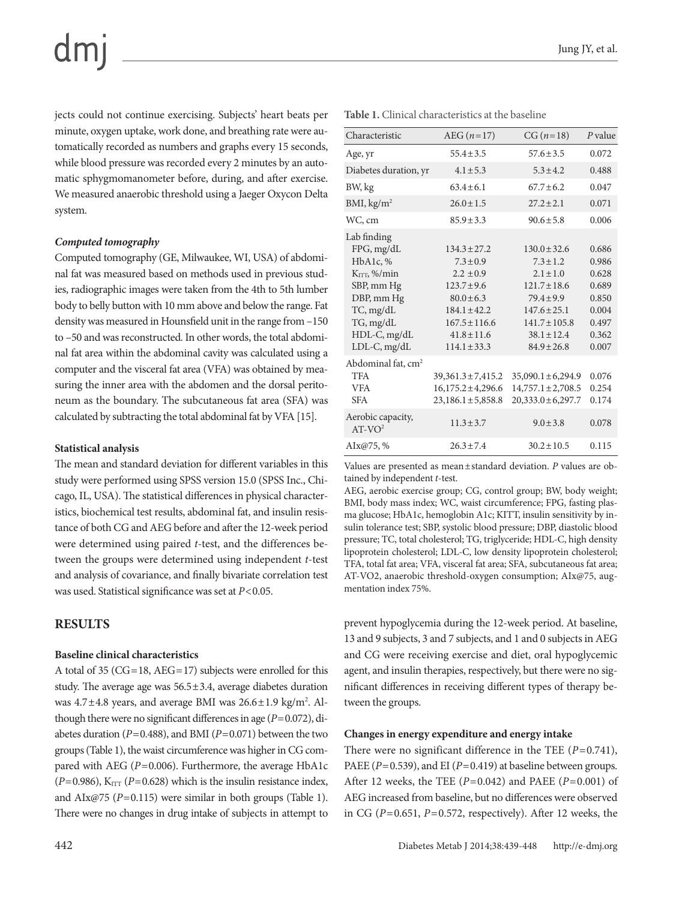# $dm$

jects could not continue exercising. Subjects' heart beats per minute, oxygen uptake, work done, and breathing rate were automatically recorded as numbers and graphs every 15 seconds, while blood pressure was recorded every 2 minutes by an automatic sphygmomanometer before, during, and after exercise. We measured anaerobic threshold using a Jaeger Oxycon Delta system.

#### *Computed tomography*

Computed tomography (GE, Milwaukee, WI, USA) of abdominal fat was measured based on methods used in previous studies, radiographic images were taken from the 4th to 5th lumber body to belly button with 10 mm above and below the range. Fat density was measured in Hounsfield unit in the range from –150 to –50 and was reconstructed. In other words, the total abdominal fat area within the abdominal cavity was calculated using a computer and the visceral fat area (VFA) was obtained by measuring the inner area with the abdomen and the dorsal peritoneum as the boundary. The subcutaneous fat area (SFA) was calculated by subtracting the total abdominal fat by VFA [15].

#### **Statistical analysis**

The mean and standard deviation for different variables in this study were performed using SPSS version 15.0 (SPSS Inc., Chicago, IL, USA). The statistical differences in physical characteristics, biochemical test results, abdominal fat, and insulin resistance of both CG and AEG before and after the 12-week period were determined using paired *t*-test, and the differences between the groups were determined using independent *t*-test and analysis of covariance, and finally bivariate correlation test was used. Statistical significance was set at *P*<0.05.

### **RESULTS**

#### **Baseline clinical characteristics**

A total of 35 (CG=18, AEG=17) subjects were enrolled for this study. The average age was  $56.5 \pm 3.4$ , average diabetes duration was  $4.7 \pm 4.8$  years, and average BMI was  $26.6 \pm 1.9$  kg/m<sup>2</sup>. Although there were no significant differences in age (*P*=0.072), diabetes duration (*P*=0.488), and BMI (*P*=0.071) between the two groups (Table 1), the waist circumference was higher in CG compared with AEG (P=0.006). Furthermore, the average HbA1c  $(P=0.986)$ , K<sub>ITT</sub>  $(P=0.628)$  which is the insulin resistance index, and AIx@75 (*P*=0.115) were similar in both groups (Table 1). There were no changes in drug intake of subjects in attempt to

| <b>Table 1.</b> Clinical characteristics at the baseline |                |                |           |  |  |
|----------------------------------------------------------|----------------|----------------|-----------|--|--|
| Characteristic                                           | $AEG (n=17)$   | $CG (n=18)$    | $P$ value |  |  |
| Age, yr                                                  | $55.4 \pm 3.5$ | $57.6 \pm 3.5$ | 0.072     |  |  |
| Diabetes duration, yr                                    | $4.1 \pm 5.3$  | $5.3 + 4.2$    | 0.488     |  |  |
| BW, kg                                                   | $63.4 \pm 6.1$ | $67.7 \pm 6.2$ | 0.047     |  |  |
| <b>BMI</b> $\log/m^2$                                    | $260+15$       | $272 + 21$     | 0.071     |  |  |

| BW, kg                                                                                                                                  | $63.4 \pm 6.1$                                                                                                                                      | $67.7 \pm 6.2$                                                                                                                                       | 0.047                                                                |
|-----------------------------------------------------------------------------------------------------------------------------------------|-----------------------------------------------------------------------------------------------------------------------------------------------------|------------------------------------------------------------------------------------------------------------------------------------------------------|----------------------------------------------------------------------|
| BMI, kg/m <sup>2</sup>                                                                                                                  | $26.0 \pm 1.5$                                                                                                                                      | $27.2 \pm 2.1$                                                                                                                                       | 0.071                                                                |
| WC, cm                                                                                                                                  | $85.9 \pm 3.3$                                                                                                                                      | $90.6 \pm 5.8$                                                                                                                                       | 0.006                                                                |
| Lab finding<br>FPG, mg/dL<br>HbA1c, %<br>$K_{\text{ITT}}$ , %/min<br>SBP, mm Hg<br>DBP, mm Hg<br>TC, mg/dL<br>TG, mg/dL<br>HDL-C, mg/dL | $134.3 \pm 27.2$<br>$7.3 \pm 0.9$<br>$2.2 \pm 0.9$<br>$123.7 \pm 9.6$<br>$80.0 \pm 6.3$<br>$184.1 \pm 42.2$<br>$167.5 \pm 116.6$<br>$41.8 \pm 11.6$ | $130.0 \pm 32.6$<br>$7.3 \pm 1.2$<br>$2.1 \pm 1.0$<br>$121.7 \pm 18.6$<br>$79.4 \pm 9.9$<br>$147.6 \pm 25.1$<br>$141.7 \pm 105.8$<br>$38.1 \pm 12.4$ | 0.686<br>0.986<br>0.628<br>0.689<br>0.850<br>0.004<br>0.497<br>0.362 |
| $LDL-C, mg/dL$                                                                                                                          | $114.1 \pm 33.3$                                                                                                                                    | $84.9 \pm 26.8$                                                                                                                                      | 0.007                                                                |
| Abdominal fat, cm <sup>2</sup><br><b>TFA</b><br><b>VFA</b><br><b>SFA</b>                                                                | $39,361.3 \pm 7,415.2$<br>$16,175.2 \pm 4,296.6$<br>$23,186.1 \pm 5,858.8$                                                                          | $35,090.1 \pm 6,294.9$<br>$14,757.1 \pm 2,708.5$<br>$20,333.0 \pm 6,297.7$                                                                           | 0.076<br>0.254<br>0.174                                              |
| Aerobic capacity,<br>$AT-VO2$                                                                                                           | $11.3 \pm 3.7$                                                                                                                                      | $9.0 \pm 3.8$                                                                                                                                        | 0.078                                                                |
| AIx@75,%                                                                                                                                | $26.3 \pm 7.4$                                                                                                                                      | $30.2 \pm 10.5$                                                                                                                                      | 0.115                                                                |

Values are presented as mean±standard deviation. *P* values are obtained by independent *t*-test.

AEG, aerobic exercise group; CG, control group; BW, body weight; BMI, body mass index; WC, waist circumference; FPG, fasting plasma glucose; HbA1c, hemoglobin A1c; KITT, insulin sensitivity by insulin tolerance test; SBP, systolic blood pressure; DBP, diastolic blood pressure; TC, total cholesterol; TG, triglyceride; HDL-C, high density lipoprotein cholesterol; LDL-C, low density lipoprotein cholesterol; TFA, total fat area; VFA, visceral fat area; SFA, subcutaneous fat area; AT-VO2, anaerobic threshold-oxygen consumption; AIx@75, augmentation index 75%.

prevent hypoglycemia during the 12-week period. At baseline, 13 and 9 subjects, 3 and 7 subjects, and 1 and 0 subjects in AEG and CG were receiving exercise and diet, oral hypoglycemic agent, and insulin therapies, respectively, but there were no significant differences in receiving different types of therapy between the groups.

#### **Changes in energy expenditure and energy intake**

There were no significant difference in the TEE (*P*=0.741), PAEE ( $P=0.539$ ), and EI ( $P=0.419$ ) at baseline between groups. After 12 weeks, the TEE (*P*=0.042) and PAEE (*P*=0.001) of AEG increased from baseline, but no differences were observed in CG (*P*=0.651, *P*=0.572, respectively). After 12 weeks, the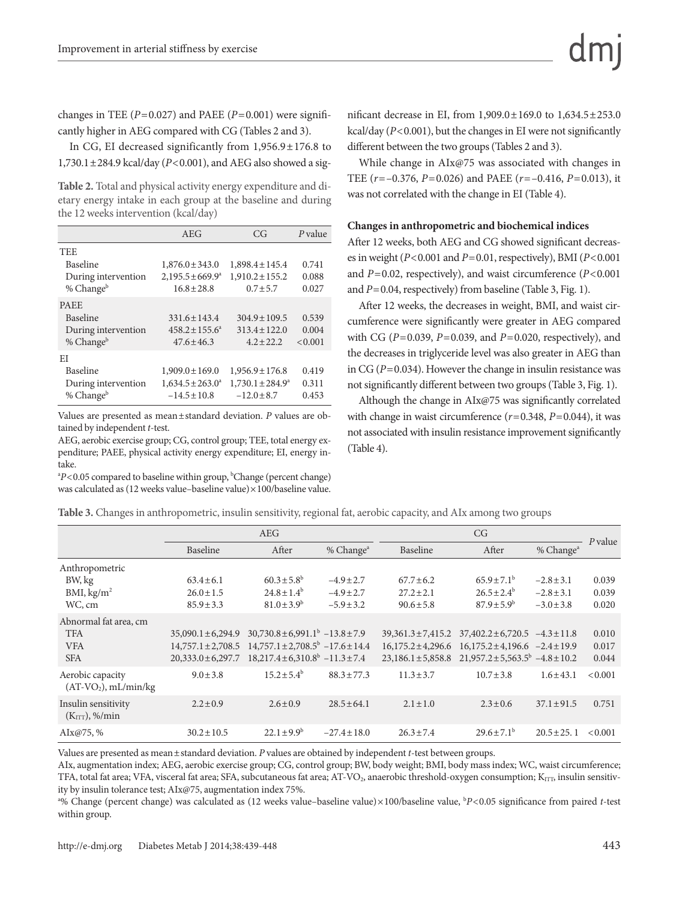changes in TEE  $(P=0.027)$  and PAEE  $(P=0.001)$  were significantly higher in AEG compared with CG (Tables 2 and 3).

In CG, EI decreased significantly from 1,956.9±176.8 to 1,730.1±284.9 kcal/day (*P*<0.001), and AEG also showed a sig-

**Table 2.** Total and physical activity energy expenditure and dietary energy intake in each group at the baseline and during the 12 weeks intervention (kcal/day)

|                       | AEG                       | CG                    | $P$ value |
|-----------------------|---------------------------|-----------------------|-----------|
| <b>TEE</b>            |                           |                       |           |
| <b>Baseline</b>       | $1,876.0 \pm 343.0$       | $1,898.4 \pm 145.4$   | 0.741     |
| During intervention   | $2,195.5 \pm 669.9^a$     | $1,910.2 \pm 155.2$   | 0.088     |
| % Change <sup>b</sup> | $16.8 \pm 28.8$           | $0.7 + 5.7$           | 0.027     |
| <b>PAEE</b>           |                           |                       |           |
| <b>Baseline</b>       | $331.6 \pm 143.4$         | $304.9 \pm 109.5$     | 0.539     |
| During intervention   | $458.2 \pm 155.6^{\circ}$ | $313.4 \pm 122.0$     | 0.004     |
| % Change <sup>b</sup> | $47.6 \pm 46.3$           | $4.2 + 22.2$          | < 0.001   |
| EI                    |                           |                       |           |
| Baseline              | $1,909.0 \pm 169.0$       | $1,956.9 \pm 176.8$   | 0.419     |
| During intervention   | $1,634.5 \pm 263.0^a$     | $1,730.1 \pm 284.9^a$ | 0.311     |
| % Change <sup>b</sup> | $-14.5 \pm 10.8$          | $-12.0 \pm 8.7$       | 0.453     |

Values are presented as mean±standard deviation. *P* values are obtained by independent *t*-test.

AEG, aerobic exercise group; CG, control group; TEE, total energy expenditure; PAEE, physical activity energy expenditure; EI, energy intake.

 $P$ <0.05 compared to baseline within group,  $P$ Change (percent change) was calculated as (12 weeks value–baseline value)×100/baseline value.

nificant decrease in EI, from 1,909.0±169.0 to 1,634.5±253.0 kcal/day (*P*<0.001), but the changes in EI were not significantly different between the two groups (Tables 2 and 3).

While change in AIx@75 was associated with changes in TEE (*r*=–0.376, *P*=0.026) and PAEE (*r*=–0.416, *P*=0.013), it was not correlated with the change in EI (Table 4).

#### **Changes in anthropometric and biochemical indices**

After 12 weeks, both AEG and CG showed significant decreases in weight (*P*<0.001 and *P*=0.01, respectively), BMI (*P*<0.001 and *P*=0.02, respectively), and waist circumference (*P*<0.001 and *P*=0.04, respectively) from baseline (Table 3, Fig. 1).

After 12 weeks, the decreases in weight, BMI, and waist circumference were significantly were greater in AEG compared with CG (*P*=0.039, *P*=0.039, and *P*=0.020, respectively), and the decreases in triglyceride level was also greater in AEG than in CG (*P*=0.034). However the change in insulin resistance was not significantly different between two groups (Table 3, Fig. 1).

Although the change in AIx@75 was significantly correlated with change in waist circumference ( $r=0.348$ ,  $P=0.044$ ), it was not associated with insulin resistance improvement significantly (Table 4).

|  |  |  |  |  |  |  | Table 3. Changes in anthropometric, insulin sensitivity, regional fat, aerobic capacity, and AIx among two groups |
|--|--|--|--|--|--|--|-------------------------------------------------------------------------------------------------------------------|
|--|--|--|--|--|--|--|-------------------------------------------------------------------------------------------------------------------|

|                                                                 | <b>AEG</b>                                                                 |                                                                                                                                                   | CG                               |                                  |                                                                                                                                                                                                   |                                  |                         |
|-----------------------------------------------------------------|----------------------------------------------------------------------------|---------------------------------------------------------------------------------------------------------------------------------------------------|----------------------------------|----------------------------------|---------------------------------------------------------------------------------------------------------------------------------------------------------------------------------------------------|----------------------------------|-------------------------|
|                                                                 | Baseline                                                                   | After                                                                                                                                             | % Change <sup>a</sup>            | Baseline                         | After                                                                                                                                                                                             | % Change <sup>a</sup>            | $P$ value               |
| Anthropometric<br>BW, kg                                        | $63.4 \pm 6.1$                                                             | $60.3 \pm 5.8^{\rm b}$                                                                                                                            | $-4.9 \pm 2.7$                   | $67.7 \pm 6.2$                   | $65.9 \pm 7.1^{\rm b}$                                                                                                                                                                            | $-2.8 \pm 3.1$                   | 0.039                   |
| BMI, kg/m <sup>2</sup><br>WC, cm                                | $26.0 \pm 1.5$<br>$85.9 \pm 3.3$                                           | $24.8 \pm 1.4^b$<br>$81.0 \pm 3.9^{\rm b}$                                                                                                        | $-4.9 \pm 2.7$<br>$-5.9 \pm 3.2$ | $27.2 \pm 2.1$<br>$90.6 \pm 5.8$ | $26.5 \pm 2.4^b$<br>$87.9 \pm 5.9^{\rm b}$                                                                                                                                                        | $-2.8 \pm 3.1$<br>$-3.0 \pm 3.8$ | 0.039<br>0.020          |
| Abnormal fat area, cm<br><b>TFA</b><br><b>VFA</b><br><b>SFA</b> | $35,090.1 \pm 6,294.9$<br>$14,757.1 \pm 2,708.5$<br>$20,333.0 \pm 6,297.7$ | $30,730.8 \pm 6,991.1^{\circ} -13.8 \pm 7.9$<br>$14.757.1 \pm 2.708.5^{\circ}$ -17.6 $\pm$ 14.4<br>$18,217.4 \pm 6,310.8^{\circ}$ $-11.3 \pm 7.4$ |                                  |                                  | $39,361.3 \pm 7,415.2$ $37,402.2 \pm 6,720.5$ $-4.3 \pm 11.8$<br>$16,175.2 \pm 4,296.6$ $16,175.2 \pm 4,196.6$ $-2.4 \pm 19.9$<br>$23,186.1 \pm 5,858.8$ $21,957.2 \pm 5,563.5^b$ $-4.8 \pm 10.2$ |                                  | 0.010<br>0.017<br>0.044 |
| Aerobic capacity<br>$(AT-VO2), mL/min/kg$                       | $9.0 \pm 3.8$                                                              | $15.2 \pm 5.4^{\rm b}$                                                                                                                            | $88.3 \pm 77.3$                  | $11.3 \pm 3.7$                   | $10.7 \pm 3.8$                                                                                                                                                                                    | $1.6 \pm 43.1$                   | < 0.001                 |
| Insulin sensitivity<br>(K <sub>ITT</sub> ), % <sub>min</sub>    | $2.2 \pm 0.9$                                                              | $2.6 \pm 0.9$                                                                                                                                     | $28.5 \pm 64.1$                  | $2.1 \pm 1.0$                    | $2.3 \pm 0.6$                                                                                                                                                                                     | $37.1 \pm 91.5$                  | 0.751                   |
| AIx@75, $%$                                                     | $30.2 \pm 10.5$                                                            | $22.1 \pm 9.9^{\circ}$                                                                                                                            | $-27.4 \pm 18.0$                 | $26.3 \pm 7.4$                   | $29.6 \pm 7.1^{\circ}$                                                                                                                                                                            | $20.5 \pm 25.1$                  | < 0.001                 |

Values are presented as mean±standard deviation. *P* values are obtained by independent *t*-test between groups.

AIx, augmentation index; AEG, aerobic exercise group; CG, control group; BW, body weight; BMI, body mass index; WC, waist circumference; TFA, total fat area; VFA, visceral fat area; SFA, subcutaneous fat area; AT-VO<sub>2</sub>, anaerobic threshold-oxygen consumption;  $K_{\text{IT},\text{D}}$  insulin sensitivity by insulin tolerance test; AIx@75, augmentation index 75%.

<sup>a</sup>% Change (percent change) was calculated as (12 weeks value–baseline value)×100/baseline value, <sup>b</sup>P<0.05 significance from paired *t*-test within group.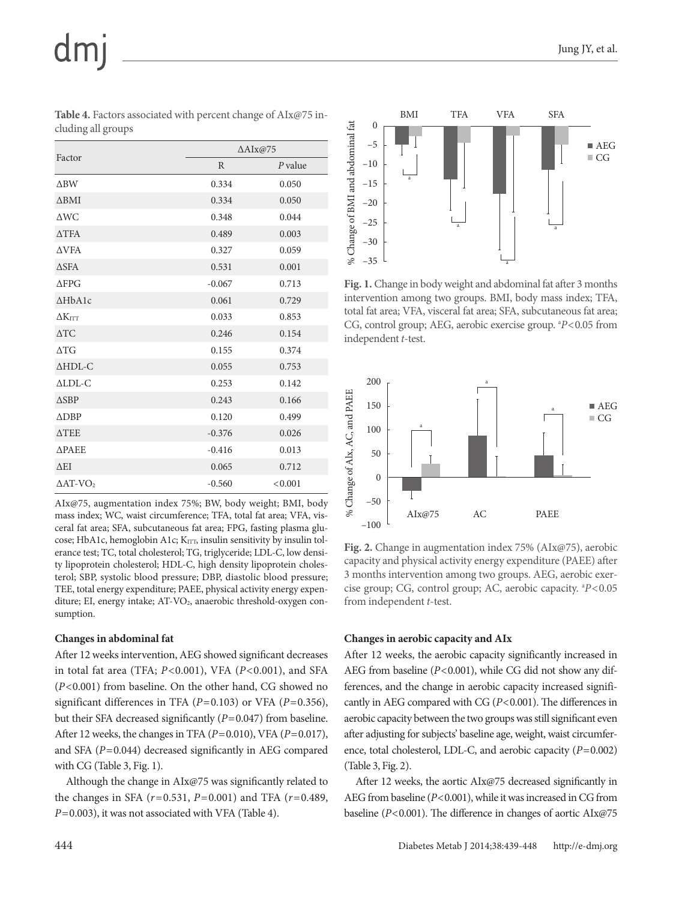| Factor                  | $\Delta$ AIx@75 |           |  |  |  |
|-------------------------|-----------------|-----------|--|--|--|
|                         | R               | $P$ value |  |  |  |
| $\triangle$ BW          | 0.334           | 0.050     |  |  |  |
| $\triangle$ BMI         | 0.334           | 0.050     |  |  |  |
| $\triangle W C$         | 0.348           | 0.044     |  |  |  |
| $\triangle TFA$         | 0.489           | 0.003     |  |  |  |
| <b>AVFA</b>             | 0.327           | 0.059     |  |  |  |
| <b>ASFA</b>             | 0.531           | 0.001     |  |  |  |
| $\triangle$ FPG         | $-0.067$        | 0.713     |  |  |  |
| A HbA1c                 | 0.061           | 0.729     |  |  |  |
| $\Delta K$ itt          | 0.033           | 0.853     |  |  |  |
| $\triangle$ TC          | 0.246           | 0.154     |  |  |  |
| $\triangle T G$         | 0.155           | 0.374     |  |  |  |
| $\triangle HDL-C$       | 0.055           | 0.753     |  |  |  |
| $\triangle LDL-C$       | 0.253           | 0.142     |  |  |  |
| $\triangle$ SBP         | 0.243           | 0.166     |  |  |  |
| <b>ADBP</b>             | 0.120           | 0.499     |  |  |  |
| <b>ATEE</b>             | $-0.376$        | 0.026     |  |  |  |
| <b>APAEE</b>            | $-0.416$        | 0.013     |  |  |  |
| $\triangle$ EI          | 0.065           | 0.712     |  |  |  |
| $\Delta AT\text{-}VO_2$ | $-0.560$        | < 0.001   |  |  |  |

**Table 4.** Factors associated with percent change of AIx@75 including all groups

AIx@75, augmentation index 75%; BW, body weight; BMI, body mass index; WC, waist circumference; TFA, total fat area; VFA, visceral fat area; SFA, subcutaneous fat area; FPG, fasting plasma glucose; HbA1c, hemoglobin A1c;  $K_{\text{ITT}}$ , insulin sensitivity by insulin tolerance test; TC, total cholesterol; TG, triglyceride; LDL-C, low density lipoprotein cholesterol; HDL-C, high density lipoprotein cholesterol; SBP, systolic blood pressure; DBP, diastolic blood pressure; TEE, total energy expenditure; PAEE, physical activity energy expenditure; EI, energy intake;  $AT\text{-}VO<sub>2</sub>$ , anaerobic threshold-oxygen consumption.

#### **Changes in abdominal fat**

After 12 weeks intervention, AEG showed significant decreases in total fat area (TFA; *P*<0.001), VFA (*P*<0.001), and SFA (*P*<0.001) from baseline. On the other hand, CG showed no significant differences in TFA (*P*=0.103) or VFA (*P*=0.356), but their SFA decreased significantly (*P*=0.047) from baseline. After 12 weeks, the changes in TFA (*P*=0.010), VFA (*P*=0.017), and SFA (*P*=0.044) decreased significantly in AEG compared with CG (Table 3, Fig. 1).

Although the change in AIx@75 was significantly related to the changes in SFA (*r*=0.531, *P*=0.001) and TFA (*r*=0.489, *P*=0.003), it was not associated with VFA (Table 4).



**Fig. 1.** Change in body weight and abdominal fat after 3 months intervention among two groups. BMI, body mass index; TFA, total fat area; VFA, visceral fat area; SFA, subcutaneous fat area; CG, control group; AEG, aerobic exercise group. <sup>a</sup>P<0.05 from independent *t*-test.



**Fig. 2.** Change in augmentation index 75% (AIx@75), aerobic capacity and physical activity energy expenditure (PAEE) after 3 months intervention among two groups. AEG, aerobic exercise group; CG, control group; AC, aerobic capacity. <sup>a</sup>P<0.05 from independent *t*-test.

#### **Changes in aerobic capacity and AIx**

After 12 weeks, the aerobic capacity significantly increased in AEG from baseline (*P*<0.001), while CG did not show any differences, and the change in aerobic capacity increased significantly in AEG compared with CG (*P*<0.001). The differences in aerobic capacity between the two groups was still significant even after adjusting for subjects' baseline age, weight, waist circumference, total cholesterol, LDL-C, and aerobic capacity (*P*=0.002) (Table 3, Fig. 2).

After 12 weeks, the aortic AIx@75 decreased significantly in AEG from baseline (*P*<0.001), while it was increased in CG from baseline (*P*<0.001). The difference in changes of aortic AIx@75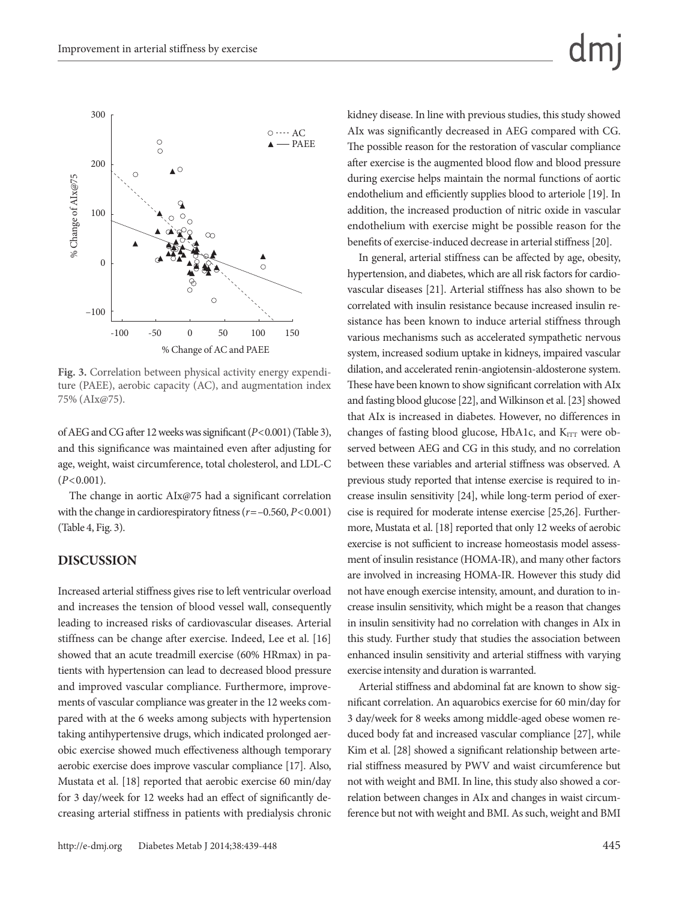

**Fig. 3.** Correlation between physical activity energy expenditure (PAEE), aerobic capacity (AC), and augmentation index 75% (AIx@75).

of AEG and CG after 12 weeks was significant (*P*<0.001) (Table 3), and this significance was maintained even after adjusting for age, weight, waist circumference, total cholesterol, and LDL-C (*P*<0.001).

The change in aortic AIx@75 had a significant correlation with the change in cardiorespiratory fitness (*r*=–0.560, *P*<0.001) (Table 4, Fig. 3).

#### **DISCUSSION**

Increased arterial stiffness gives rise to left ventricular overload and increases the tension of blood vessel wall, consequently leading to increased risks of cardiovascular diseases. Arterial stiffness can be change after exercise. Indeed, Lee et al. [16] showed that an acute treadmill exercise (60% HRmax) in patients with hypertension can lead to decreased blood pressure and improved vascular compliance. Furthermore, improvements of vascular compliance was greater in the 12 weeks compared with at the 6 weeks among subjects with hypertension taking antihypertensive drugs, which indicated prolonged aerobic exercise showed much effectiveness although temporary aerobic exercise does improve vascular compliance [17]. Also, Mustata et al. [18] reported that aerobic exercise 60 min/day for 3 day/week for 12 weeks had an effect of significantly decreasing arterial stiffness in patients with predialysis chronic

kidney disease. In line with previous studies, this study showed AIx was significantly decreased in AEG compared with CG. The possible reason for the restoration of vascular compliance after exercise is the augmented blood flow and blood pressure during exercise helps maintain the normal functions of aortic endothelium and efficiently supplies blood to arteriole [19]. In addition, the increased production of nitric oxide in vascular endothelium with exercise might be possible reason for the benefits of exercise-induced decrease in arterial stiffness [20].

In general, arterial stiffness can be affected by age, obesity, hypertension, and diabetes, which are all risk factors for cardiovascular diseases [21]. Arterial stiffness has also shown to be correlated with insulin resistance because increased insulin resistance has been known to induce arterial stiffness through various mechanisms such as accelerated sympathetic nervous system, increased sodium uptake in kidneys, impaired vascular dilation, and accelerated renin-angiotensin-aldosterone system. These have been known to show significant correlation with AIx and fasting blood glucose [22], and Wilkinson et al. [23] showed that AIx is increased in diabetes. However, no differences in changes of fasting blood glucose, HbA1c, and KITT were observed between AEG and CG in this study, and no correlation between these variables and arterial stiffness was observed. A previous study reported that intense exercise is required to increase insulin sensitivity [24], while long-term period of exercise is required for moderate intense exercise [25,26]. Furthermore, Mustata et al. [18] reported that only 12 weeks of aerobic exercise is not sufficient to increase homeostasis model assessment of insulin resistance (HOMA-IR), and many other factors are involved in increasing HOMA-IR. However this study did not have enough exercise intensity, amount, and duration to increase insulin sensitivity, which might be a reason that changes in insulin sensitivity had no correlation with changes in AIx in this study. Further study that studies the association between enhanced insulin sensitivity and arterial stiffness with varying exercise intensity and duration is warranted.

Arterial stiffness and abdominal fat are known to show significant correlation. An aquarobics exercise for 60 min/day for 3 day/week for 8 weeks among middle-aged obese women reduced body fat and increased vascular compliance [27], while Kim et al. [28] showed a significant relationship between arterial stiffness measured by PWV and waist circumference but not with weight and BMI. In line, this study also showed a correlation between changes in AIx and changes in waist circumference but not with weight and BMI. As such, weight and BMI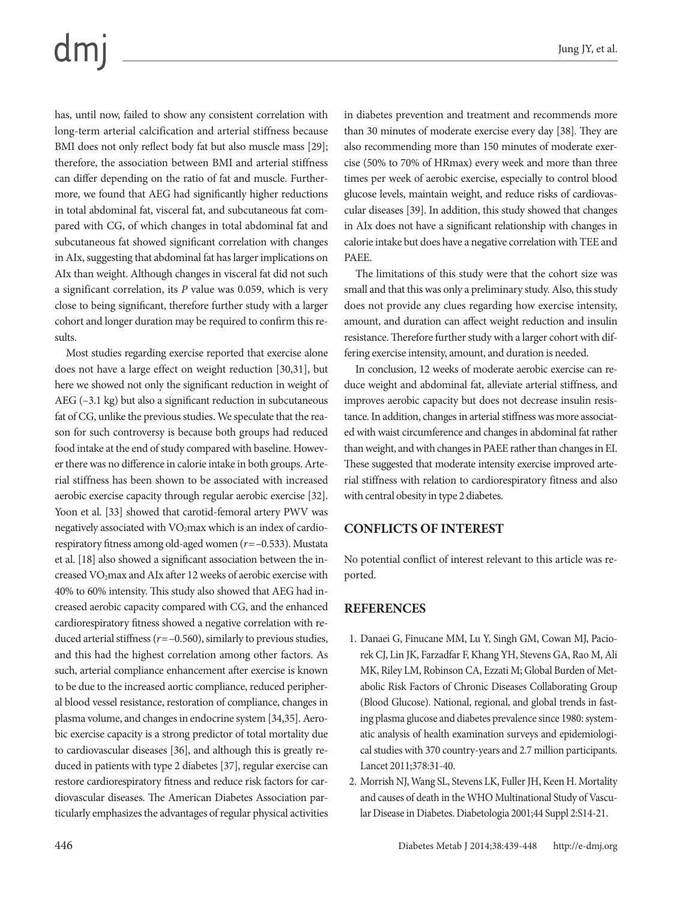## dmi

has, until now, failed to show any consistent correlation with long-term arterial calcification and arterial stiffness because BMI does not only reflect body fat but also muscle mass [29]; therefore, the association between BMI and arterial stiffness can differ depending on the ratio of fat and muscle. Furthermore, we found that AEG had significantly higher reductions in total abdominal fat, visceral fat, and subcutaneous fat compared with CG, of which changes in total abdominal fat and subcutaneous fat showed significant correlation with changes in AIx, suggesting that abdominal fat has larger implications on AIx than weight. Although changes in visceral fat did not such a significant correlation, its *P* value was 0.059, which is very close to being significant, therefore further study with a larger cohort and longer duration may be required to confirm this results.

Most studies regarding exercise reported that exercise alone does not have a large effect on weight reduction [30,31], but here we showed not only the significant reduction in weight of AEG (–3.1 kg) but also a significant reduction in subcutaneous fat of CG, unlike the previous studies. We speculate that the reason for such controversy is because both groups had reduced food intake at the end of study compared with baseline. However there was no difference in calorie intake in both groups. Arterial stiffness has been shown to be associated with increased aerobic exercise capacity through regular aerobic exercise [32]. Yoon et al. [33] showed that carotid-femoral artery PWV was negatively associated with VO<sub>2</sub>max which is an index of cardiorespiratory fitness among old-aged women (*r*=–0.533). Mustata et al. [18] also showed a significant association between the increased VO<sub>2</sub>max and AIx after 12 weeks of aerobic exercise with 40% to 60% intensity. This study also showed that AEG had increased aerobic capacity compared with CG, and the enhanced cardiorespiratory fitness showed a negative correlation with reduced arterial stiffness (*r*=–0.560), similarly to previous studies, and this had the highest correlation among other factors. As such, arterial compliance enhancement after exercise is known to be due to the increased aortic compliance, reduced peripheral blood vessel resistance, restoration of compliance, changes in plasma volume, and changes in endocrine system [34,35]. Aerobic exercise capacity is a strong predictor of total mortality due to cardiovascular diseases [36], and although this is greatly reduced in patients with type 2 diabetes [37], regular exercise can restore cardiorespiratory fitness and reduce risk factors for cardiovascular diseases. The American Diabetes Association particularly emphasizes the advantages of regular physical activities

in diabetes prevention and treatment and recommends more than 30 minutes of moderate exercise every day [38]. They are also recommending more than 150 minutes of moderate exercise (50% to 70% of HRmax) every week and more than three times per week of aerobic exercise, especially to control blood glucose levels, maintain weight, and reduce risks of cardiovascular diseases [39]. In addition, this study showed that changes in AIx does not have a significant relationship with changes in calorie intake but does have a negative correlation with TEE and PAEE.

The limitations of this study were that the cohort size was small and that this was only a preliminary study. Also, this study does not provide any clues regarding how exercise intensity, amount, and duration can affect weight reduction and insulin resistance. Therefore further study with a larger cohort with differing exercise intensity, amount, and duration is needed.

In conclusion, 12 weeks of moderate aerobic exercise can reduce weight and abdominal fat, alleviate arterial stiffness, and improves aerobic capacity but does not decrease insulin resistance. In addition, changes in arterial stiffness was more associated with waist circumference and changes in abdominal fat rather than weight, and with changes in PAEE rather than changes in EI. These suggested that moderate intensity exercise improved arterial stiffness with relation to cardiorespiratory fitness and also with central obesity in type 2 diabetes.

### **CONFLICTS OF INTEREST**

No potential conflict of interest relevant to this article was reported.

### **REFERENCES**

- 1. Danaei G, Finucane MM, Lu Y, Singh GM, Cowan MJ, Paciorek CJ, Lin JK, Farzadfar F, Khang YH, Stevens GA, Rao M, Ali MK, Riley LM, Robinson CA, Ezzati M; Global Burden of Metabolic Risk Factors of Chronic Diseases Collaborating Group (Blood Glucose). National, regional, and global trends in fasting plasma glucose and diabetes prevalence since 1980: systematic analysis of health examination surveys and epidemiological studies with 370 country-years and 2.7 million participants. Lancet 2011;378:31-40.
- 2. Morrish NJ, Wang SL, Stevens LK, Fuller JH, Keen H. Mortality and causes of death in the WHO Multinational Study of Vascular Disease in Diabetes. Diabetologia 2001;44 Suppl 2:S14-21.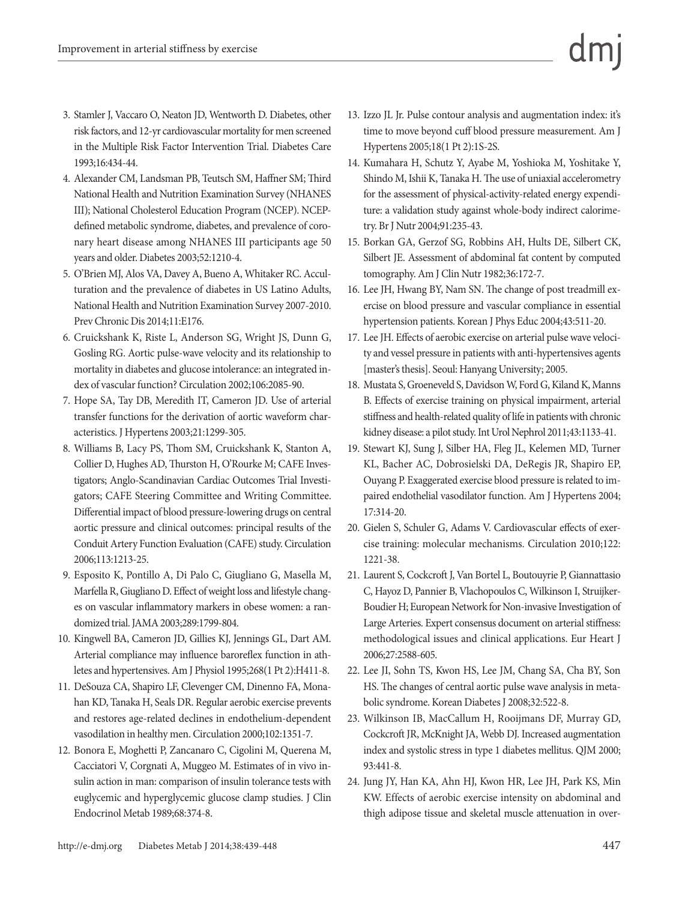- 3. Stamler J, Vaccaro O, Neaton JD, Wentworth D. Diabetes, other risk factors, and 12-yr cardiovascular mortality for men screened in the Multiple Risk Factor Intervention Trial. Diabetes Care 1993;16:434-44.
- 4. Alexander CM, Landsman PB, Teutsch SM, Haffner SM; Third National Health and Nutrition Examination Survey (NHANES III); National Cholesterol Education Program (NCEP). NCEPdefined metabolic syndrome, diabetes, and prevalence of coronary heart disease among NHANES III participants age 50 years and older. Diabetes 2003;52:1210-4.
- 5. O'Brien MJ, Alos VA, Davey A, Bueno A, Whitaker RC. Acculturation and the prevalence of diabetes in US Latino Adults, National Health and Nutrition Examination Survey 2007-2010. Prev Chronic Dis 2014;11:E176.
- 6. Cruickshank K, Riste L, Anderson SG, Wright JS, Dunn G, Gosling RG. Aortic pulse-wave velocity and its relationship to mortality in diabetes and glucose intolerance: an integrated index of vascular function? Circulation 2002;106:2085-90.
- 7. Hope SA, Tay DB, Meredith IT, Cameron JD. Use of arterial transfer functions for the derivation of aortic waveform characteristics. J Hypertens 2003;21:1299-305.
- 8. Williams B, Lacy PS, Thom SM, Cruickshank K, Stanton A, Collier D, Hughes AD, Thurston H, O'Rourke M; CAFE Investigators; Anglo-Scandinavian Cardiac Outcomes Trial Investigators; CAFE Steering Committee and Writing Committee. Differential impact of blood pressure-lowering drugs on central aortic pressure and clinical outcomes: principal results of the Conduit Artery Function Evaluation (CAFE) study. Circulation 2006;113:1213-25.
- 9. Esposito K, Pontillo A, Di Palo C, Giugliano G, Masella M, Marfella R, Giugliano D. Effect of weight loss and lifestyle changes on vascular inflammatory markers in obese women: a randomized trial. JAMA 2003;289:1799-804.
- 10. Kingwell BA, Cameron JD, Gillies KJ, Jennings GL, Dart AM. Arterial compliance may influence baroreflex function in athletes and hypertensives. Am J Physiol 1995;268(1 Pt 2):H411-8.
- 11. DeSouza CA, Shapiro LF, Clevenger CM, Dinenno FA, Monahan KD, Tanaka H, Seals DR. Regular aerobic exercise prevents and restores age-related declines in endothelium-dependent vasodilation in healthy men. Circulation 2000;102:1351-7.
- 12. Bonora E, Moghetti P, Zancanaro C, Cigolini M, Querena M, Cacciatori V, Corgnati A, Muggeo M. Estimates of in vivo insulin action in man: comparison of insulin tolerance tests with euglycemic and hyperglycemic glucose clamp studies. J Clin Endocrinol Metab 1989;68:374-8.
- 13. Izzo JL Jr. Pulse contour analysis and augmentation index: it's time to move beyond cuff blood pressure measurement. Am J Hypertens 2005;18(1 Pt 2):1S-2S.
- 14. Kumahara H, Schutz Y, Ayabe M, Yoshioka M, Yoshitake Y, Shindo M, Ishii K, Tanaka H. The use of uniaxial accelerometry for the assessment of physical-activity-related energy expenditure: a validation study against whole-body indirect calorimetry. Br J Nutr 2004;91:235-43.
- 15. Borkan GA, Gerzof SG, Robbins AH, Hults DE, Silbert CK, Silbert JE. Assessment of abdominal fat content by computed tomography. Am J Clin Nutr 1982;36:172-7.
- 16. Lee JH, Hwang BY, Nam SN. The change of post treadmill exercise on blood pressure and vascular compliance in essential hypertension patients. Korean J Phys Educ 2004;43:511-20.
- 17. Lee JH. Effects of aerobic exercise on arterial pulse wave velocity and vessel pressure in patients with anti-hypertensives agents [master's thesis]. Seoul: Hanyang University; 2005.
- 18. Mustata S, Groeneveld S, Davidson W, Ford G, Kiland K, Manns B. Effects of exercise training on physical impairment, arterial stiffness and health-related quality of life in patients with chronic kidney disease: a pilot study. Int Urol Nephrol 2011;43:1133-41.
- 19. Stewart KJ, Sung J, Silber HA, Fleg JL, Kelemen MD, Turner KL, Bacher AC, Dobrosielski DA, DeRegis JR, Shapiro EP, Ouyang P. Exaggerated exercise blood pressure is related to impaired endothelial vasodilator function. Am J Hypertens 2004; 17:314-20.
- 20. Gielen S, Schuler G, Adams V. Cardiovascular effects of exercise training: molecular mechanisms. Circulation 2010;122: 1221-38.
- 21. Laurent S, Cockcroft J, Van Bortel L, Boutouyrie P, Giannattasio C, Hayoz D, Pannier B, Vlachopoulos C, Wilkinson I, Struijker-Boudier H; European Network for Non-invasive Investigation of Large Arteries. Expert consensus document on arterial stiffness: methodological issues and clinical applications. Eur Heart J 2006;27:2588-605.
- 22. Lee JI, Sohn TS, Kwon HS, Lee JM, Chang SA, Cha BY, Son HS. The changes of central aortic pulse wave analysis in metabolic syndrome. Korean Diabetes J 2008;32:522-8.
- 23. Wilkinson IB, MacCallum H, Rooijmans DF, Murray GD, Cockcroft JR, McKnight JA, Webb DJ. Increased augmentation index and systolic stress in type 1 diabetes mellitus. QJM 2000; 93:441-8.
- 24. Jung JY, Han KA, Ahn HJ, Kwon HR, Lee JH, Park KS, Min KW. Effects of aerobic exercise intensity on abdominal and thigh adipose tissue and skeletal muscle attenuation in over-